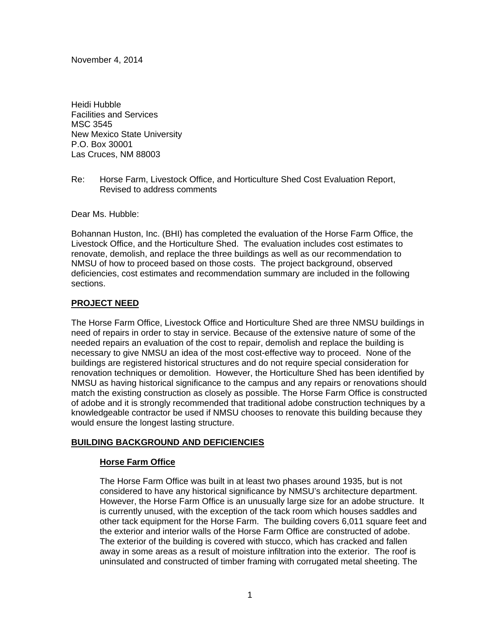November 4, 2014

Heidi Hubble Facilities and Services MSC 3545 New Mexico State University P.O. Box 30001 Las Cruces, NM 88003

Re: Horse Farm, Livestock Office, and Horticulture Shed Cost Evaluation Report, Revised to address comments

Dear Ms. Hubble:

Bohannan Huston, Inc. (BHI) has completed the evaluation of the Horse Farm Office, the Livestock Office, and the Horticulture Shed. The evaluation includes cost estimates to renovate, demolish, and replace the three buildings as well as our recommendation to NMSU of how to proceed based on those costs. The project background, observed deficiencies, cost estimates and recommendation summary are included in the following sections.

### **PROJECT NEED**

The Horse Farm Office, Livestock Office and Horticulture Shed are three NMSU buildings in need of repairs in order to stay in service. Because of the extensive nature of some of the needed repairs an evaluation of the cost to repair, demolish and replace the building is necessary to give NMSU an idea of the most cost-effective way to proceed. None of the buildings are registered historical structures and do not require special consideration for renovation techniques or demolition. However, the Horticulture Shed has been identified by NMSU as having historical significance to the campus and any repairs or renovations should match the existing construction as closely as possible. The Horse Farm Office is constructed of adobe and it is strongly recommended that traditional adobe construction techniques by a knowledgeable contractor be used if NMSU chooses to renovate this building because they would ensure the longest lasting structure.

### **BUILDING BACKGROUND AND DEFICIENCIES**

### **Horse Farm Office**

The Horse Farm Office was built in at least two phases around 1935, but is not considered to have any historical significance by NMSU's architecture department. However, the Horse Farm Office is an unusually large size for an adobe structure. It is currently unused, with the exception of the tack room which houses saddles and other tack equipment for the Horse Farm. The building covers 6,011 square feet and the exterior and interior walls of the Horse Farm Office are constructed of adobe. The exterior of the building is covered with stucco, which has cracked and fallen away in some areas as a result of moisture infiltration into the exterior. The roof is uninsulated and constructed of timber framing with corrugated metal sheeting. The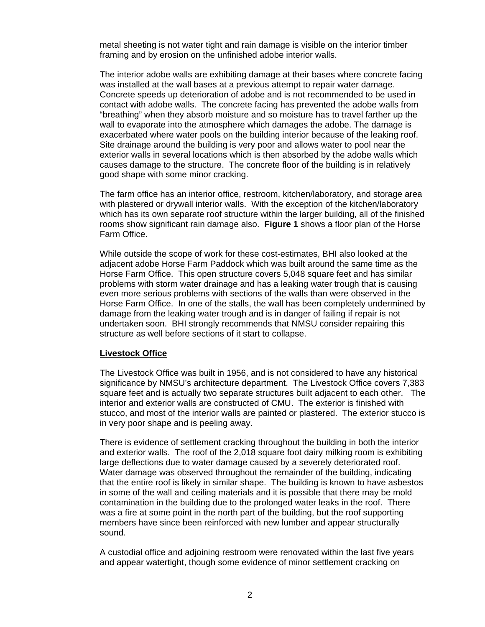metal sheeting is not water tight and rain damage is visible on the interior timber framing and by erosion on the unfinished adobe interior walls.

The interior adobe walls are exhibiting damage at their bases where concrete facing was installed at the wall bases at a previous attempt to repair water damage. Concrete speeds up deterioration of adobe and is not recommended to be used in contact with adobe walls. The concrete facing has prevented the adobe walls from "breathing" when they absorb moisture and so moisture has to travel farther up the wall to evaporate into the atmosphere which damages the adobe. The damage is exacerbated where water pools on the building interior because of the leaking roof. Site drainage around the building is very poor and allows water to pool near the exterior walls in several locations which is then absorbed by the adobe walls which causes damage to the structure. The concrete floor of the building is in relatively good shape with some minor cracking.

The farm office has an interior office, restroom, kitchen/laboratory, and storage area with plastered or drywall interior walls. With the exception of the kitchen/laboratory which has its own separate roof structure within the larger building, all of the finished rooms show significant rain damage also. **Figure 1** shows a floor plan of the Horse Farm Office.

While outside the scope of work for these cost-estimates, BHI also looked at the adjacent adobe Horse Farm Paddock which was built around the same time as the Horse Farm Office. This open structure covers 5,048 square feet and has similar problems with storm water drainage and has a leaking water trough that is causing even more serious problems with sections of the walls than were observed in the Horse Farm Office. In one of the stalls, the wall has been completely undermined by damage from the leaking water trough and is in danger of failing if repair is not undertaken soon. BHI strongly recommends that NMSU consider repairing this structure as well before sections of it start to collapse.

#### **Livestock Office**

The Livestock Office was built in 1956, and is not considered to have any historical significance by NMSU's architecture department. The Livestock Office covers 7,383 square feet and is actually two separate structures built adjacent to each other. The interior and exterior walls are constructed of CMU. The exterior is finished with stucco, and most of the interior walls are painted or plastered. The exterior stucco is in very poor shape and is peeling away.

There is evidence of settlement cracking throughout the building in both the interior and exterior walls. The roof of the 2,018 square foot dairy milking room is exhibiting large deflections due to water damage caused by a severely deteriorated roof. Water damage was observed throughout the remainder of the building, indicating that the entire roof is likely in similar shape. The building is known to have asbestos in some of the wall and ceiling materials and it is possible that there may be mold contamination in the building due to the prolonged water leaks in the roof. There was a fire at some point in the north part of the building, but the roof supporting members have since been reinforced with new lumber and appear structurally sound.

A custodial office and adjoining restroom were renovated within the last five years and appear watertight, though some evidence of minor settlement cracking on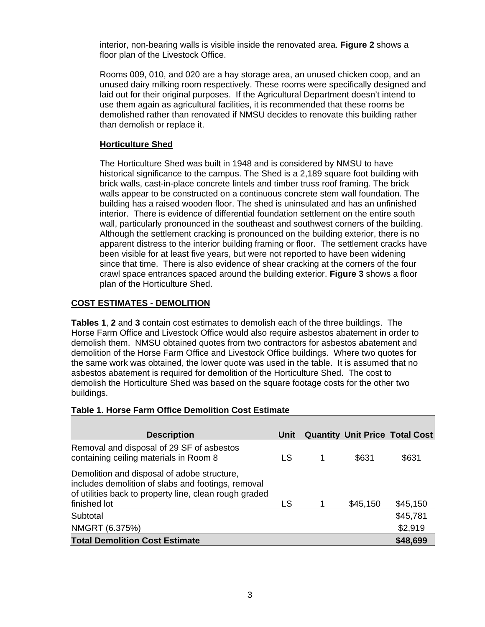interior, non-bearing walls is visible inside the renovated area. **Figure 2** shows a floor plan of the Livestock Office.

Rooms 009, 010, and 020 are a hay storage area, an unused chicken coop, and an unused dairy milking room respectively. These rooms were specifically designed and laid out for their original purposes. If the Agricultural Department doesn't intend to use them again as agricultural facilities, it is recommended that these rooms be demolished rather than renovated if NMSU decides to renovate this building rather than demolish or replace it.

### **Horticulture Shed**

The Horticulture Shed was built in 1948 and is considered by NMSU to have historical significance to the campus. The Shed is a 2,189 square foot building with brick walls, cast-in-place concrete lintels and timber truss roof framing. The brick walls appear to be constructed on a continuous concrete stem wall foundation. The building has a raised wooden floor. The shed is uninsulated and has an unfinished interior. There is evidence of differential foundation settlement on the entire south wall, particularly pronounced in the southeast and southwest corners of the building. Although the settlement cracking is pronounced on the building exterior, there is no apparent distress to the interior building framing or floor. The settlement cracks have been visible for at least five years, but were not reported to have been widening since that time. There is also evidence of shear cracking at the corners of the four crawl space entrances spaced around the building exterior. **Figure 3** shows a floor plan of the Horticulture Shed.

### **COST ESTIMATES - DEMOLITION**

**Tables 1**, **2** and **3** contain cost estimates to demolish each of the three buildings. The Horse Farm Office and Livestock Office would also require asbestos abatement in order to demolish them. NMSU obtained quotes from two contractors for asbestos abatement and demolition of the Horse Farm Office and Livestock Office buildings. Where two quotes for the same work was obtained, the lower quote was used in the table. It is assumed that no asbestos abatement is required for demolition of the Horticulture Shed. The cost to demolish the Horticulture Shed was based on the square footage costs for the other two buildings.

#### **Table 1. Horse Farm Office Demolition Cost Estimate**

| <b>Description</b>                                                                                                                                                          | Unit |          | <b>Quantity Unit Price Total Cost</b> |
|-----------------------------------------------------------------------------------------------------------------------------------------------------------------------------|------|----------|---------------------------------------|
| Removal and disposal of 29 SF of asbestos<br>containing ceiling materials in Room 8                                                                                         | LS   | \$631    | \$631                                 |
| Demolition and disposal of adobe structure,<br>includes demolition of slabs and footings, removal<br>of utilities back to property line, clean rough graded<br>finished lot | LS   | \$45,150 | \$45,150                              |
| Subtotal                                                                                                                                                                    |      |          | \$45,781                              |
| NMGRT (6.375%)                                                                                                                                                              |      |          | \$2,919                               |
| <b>Total Demolition Cost Estimate</b>                                                                                                                                       |      |          | \$48,699                              |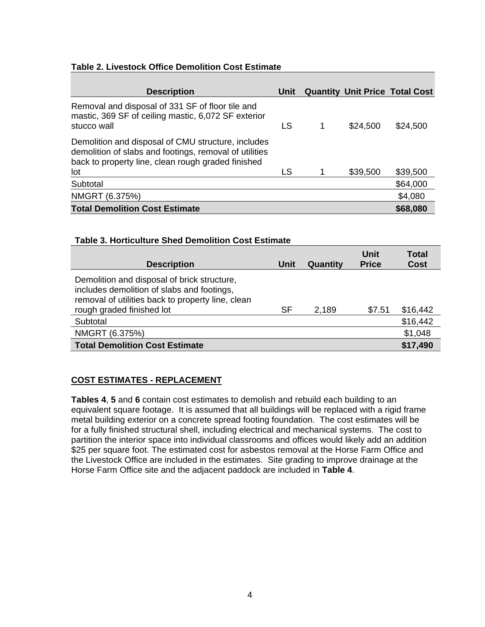### **Table 2. Livestock Office Demolition Cost Estimate**

| <b>Description</b>                                                                                                                                                 | Unit |          | <b>Quantity Unit Price Total Cost</b> |
|--------------------------------------------------------------------------------------------------------------------------------------------------------------------|------|----------|---------------------------------------|
| Removal and disposal of 331 SF of floor tile and<br>mastic, 369 SF of ceiling mastic, 6,072 SF exterior<br>stucco wall                                             | LS   | \$24,500 | \$24,500                              |
| Demolition and disposal of CMU structure, includes<br>demolition of slabs and footings, removal of utilities<br>back to property line, clean rough graded finished |      |          |                                       |
| lot                                                                                                                                                                | LS   | \$39,500 | \$39,500                              |
| Subtotal                                                                                                                                                           |      |          | \$64,000                              |
| NMGRT (6.375%)                                                                                                                                                     |      |          | \$4,080                               |
| <b>Total Demolition Cost Estimate</b>                                                                                                                              |      |          | \$68,080                              |

### **Table 3. Horticulture Shed Demolition Cost Estimate**

| <b>Description</b>                                                                                                                             | Unit      | Quantity | <b>Unit</b><br><b>Price</b> | <b>Total</b><br><b>Cost</b> |
|------------------------------------------------------------------------------------------------------------------------------------------------|-----------|----------|-----------------------------|-----------------------------|
| Demolition and disposal of brick structure,<br>includes demolition of slabs and footings,<br>removal of utilities back to property line, clean |           |          |                             |                             |
| rough graded finished lot                                                                                                                      | <b>SF</b> | 2,189    | \$7.51                      | \$16,442                    |
| Subtotal                                                                                                                                       |           |          |                             | \$16,442                    |
| NMGRT (6.375%)                                                                                                                                 |           |          |                             | \$1,048                     |
| <b>Total Demolition Cost Estimate</b>                                                                                                          |           |          |                             | \$17,490                    |

### **COST ESTIMATES - REPLACEMENT**

**Tables 4**, **5** and **6** contain cost estimates to demolish and rebuild each building to an equivalent square footage. It is assumed that all buildings will be replaced with a rigid frame metal building exterior on a concrete spread footing foundation. The cost estimates will be for a fully finished structural shell, including electrical and mechanical systems. The cost to partition the interior space into individual classrooms and offices would likely add an addition \$25 per square foot. The estimated cost for asbestos removal at the Horse Farm Office and the Livestock Office are included in the estimates. Site grading to improve drainage at the Horse Farm Office site and the adjacent paddock are included in **Table 4**.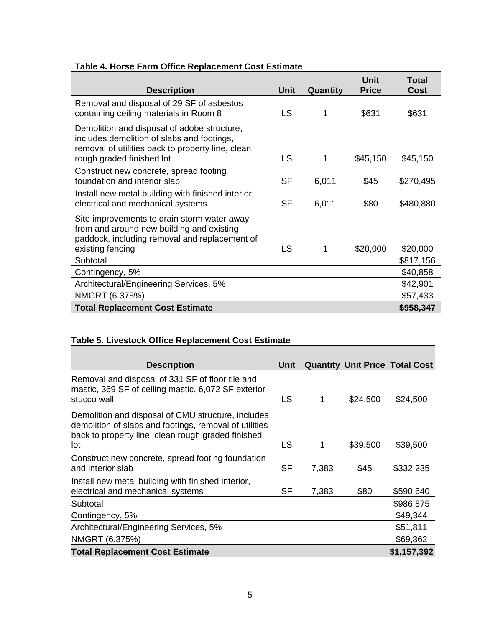# **Table 4. Horse Farm Office Replacement Cost Estimate**

| <b>Description</b>                                                                                                                                                          | <b>Unit</b> | Quantity | Unit<br><b>Price</b> | Total<br><b>Cost</b> |
|-----------------------------------------------------------------------------------------------------------------------------------------------------------------------------|-------------|----------|----------------------|----------------------|
| Removal and disposal of 29 SF of asbestos<br>containing ceiling materials in Room 8                                                                                         | LS          | 1        | \$631                | \$631                |
| Demolition and disposal of adobe structure,<br>includes demolition of slabs and footings,<br>removal of utilities back to property line, clean<br>rough graded finished lot | <b>LS</b>   | 1        | \$45,150             | \$45,150             |
| Construct new concrete, spread footing<br>foundation and interior slab                                                                                                      | <b>SF</b>   | 6,011    | \$45                 | \$270,495            |
| Install new metal building with finished interior,<br>electrical and mechanical systems                                                                                     | <b>SF</b>   | 6,011    | \$80                 | \$480,880            |
| Site improvements to drain storm water away<br>from and around new building and existing<br>paddock, including removal and replacement of<br>existing fencing               | LS          | 1        | \$20,000             | \$20,000             |
| Subtotal                                                                                                                                                                    |             |          |                      | \$817,156            |
| Contingency, 5%                                                                                                                                                             |             |          |                      | \$40,858             |
| Architectural/Engineering Services, 5%                                                                                                                                      |             |          |                      | \$42,901             |
| NMGRT (6.375%)                                                                                                                                                              |             |          |                      | \$57,433             |
| <b>Total Replacement Cost Estimate</b>                                                                                                                                      |             |          |                      | \$958,347            |

# **Table 5. Livestock Office Replacement Cost Estimate**

| <b>Description</b>                                                                                                                                                        | Unit      |       |          | <b>Quantity Unit Price Total Cost</b> |
|---------------------------------------------------------------------------------------------------------------------------------------------------------------------------|-----------|-------|----------|---------------------------------------|
| Removal and disposal of 331 SF of floor tile and<br>mastic, 369 SF of ceiling mastic, 6,072 SF exterior<br>stucco wall                                                    | LS        | 1     | \$24,500 | \$24,500                              |
| Demolition and disposal of CMU structure, includes<br>demolition of slabs and footings, removal of utilities<br>back to property line, clean rough graded finished<br>lot | LS        | 1     | \$39,500 | \$39,500                              |
| Construct new concrete, spread footing foundation<br>and interior slab                                                                                                    | <b>SF</b> | 7,383 | \$45     | \$332,235                             |
| Install new metal building with finished interior,<br>electrical and mechanical systems                                                                                   | <b>SF</b> | 7,383 | \$80     | \$590,640                             |
| Subtotal                                                                                                                                                                  |           |       |          | \$986,875                             |
| Contingency, 5%                                                                                                                                                           |           |       |          | \$49,344                              |
| Architectural/Engineering Services, 5%                                                                                                                                    |           |       |          | \$51,811                              |
| NMGRT (6.375%)                                                                                                                                                            |           |       |          | \$69,362                              |
| <b>Total Replacement Cost Estimate</b>                                                                                                                                    |           |       |          | \$1,157,392                           |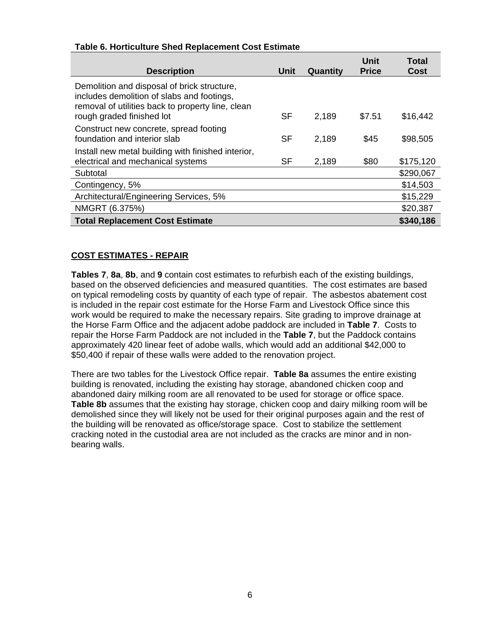| <b>Description</b>                                                                                                                                                          | Unit      | Quantity | <b>Unit</b><br><b>Price</b> | <b>Total</b><br><b>Cost</b> |
|-----------------------------------------------------------------------------------------------------------------------------------------------------------------------------|-----------|----------|-----------------------------|-----------------------------|
| Demolition and disposal of brick structure,<br>includes demolition of slabs and footings,<br>removal of utilities back to property line, clean<br>rough graded finished lot | <b>SF</b> | 2,189    | \$7.51                      | \$16,442                    |
| Construct new concrete, spread footing<br>foundation and interior slab                                                                                                      | <b>SF</b> | 2,189    | \$45                        | \$98,505                    |
| Install new metal building with finished interior,<br>electrical and mechanical systems                                                                                     | <b>SF</b> | 2,189    | \$80                        | \$175,120                   |
| Subtotal                                                                                                                                                                    |           |          |                             | \$290,067                   |
| Contingency, 5%                                                                                                                                                             |           |          |                             | \$14,503                    |
| Architectural/Engineering Services, 5%                                                                                                                                      |           |          |                             | \$15,229                    |
| NMGRT (6.375%)                                                                                                                                                              |           |          |                             | \$20,387                    |
| <b>Total Replacement Cost Estimate</b>                                                                                                                                      |           |          |                             | \$340,186                   |

## **COST ESTIMATES - REPAIR**

**Tables 7**, **8a**, **8b**, and **9** contain cost estimates to refurbish each of the existing buildings, based on the observed deficiencies and measured quantities. The cost estimates are based on typical remodeling costs by quantity of each type of repair. The asbestos abatement cost is included in the repair cost estimate for the Horse Farm and Livestock Office since this work would be required to make the necessary repairs. Site grading to improve drainage at the Horse Farm Office and the adjacent adobe paddock are included in **Table 7**. Costs to repair the Horse Farm Paddock are not included in the **Table 7**, but the Paddock contains approximately 420 linear feet of adobe walls, which would add an additional \$42,000 to \$50,400 if repair of these walls were added to the renovation project.

There are two tables for the Livestock Office repair. **Table 8a** assumes the entire existing building is renovated, including the existing hay storage, abandoned chicken coop and abandoned dairy milking room are all renovated to be used for storage or office space. **Table 8b** assumes that the existing hay storage, chicken coop and dairy milking room will be demolished since they will likely not be used for their original purposes again and the rest of the building will be renovated as office/storage space. Cost to stabilize the settlement cracking noted in the custodial area are not included as the cracks are minor and in nonbearing walls.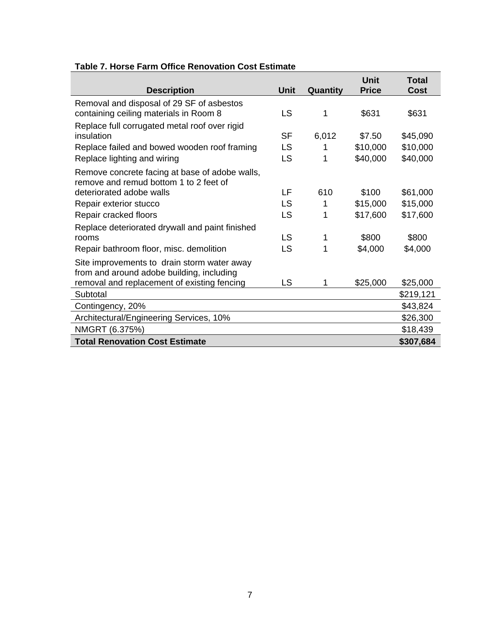|                                                                                          |             |          | <b>Unit</b>  | <b>Total</b> |
|------------------------------------------------------------------------------------------|-------------|----------|--------------|--------------|
| <b>Description</b>                                                                       | <b>Unit</b> | Quantity | <b>Price</b> | <b>Cost</b>  |
| Removal and disposal of 29 SF of asbestos<br>containing ceiling materials in Room 8      | LS          | 1        | \$631        | \$631        |
| Replace full corrugated metal roof over rigid<br>insulation                              | <b>SF</b>   | 6,012    | \$7.50       | \$45,090     |
| Replace failed and bowed wooden roof framing                                             | LS          | 1        | \$10,000     | \$10,000     |
| Replace lighting and wiring                                                              | LS          | 1        | \$40,000     | \$40,000     |
| Remove concrete facing at base of adobe walls,<br>remove and remud bottom 1 to 2 feet of |             |          |              |              |
| deteriorated adobe walls                                                                 | LF          | 610      | \$100        | \$61,000     |
| Repair exterior stucco                                                                   | LS          | 1        | \$15,000     | \$15,000     |
| Repair cracked floors                                                                    | LS          | 1        | \$17,600     | \$17,600     |
| Replace deteriorated drywall and paint finished                                          |             |          |              |              |
| rooms                                                                                    | <b>LS</b>   | 1        | \$800        | \$800        |
| Repair bathroom floor, misc. demolition                                                  | LS          | 1        | \$4,000      | \$4,000      |
| Site improvements to drain storm water away<br>from and around adobe building, including |             |          |              |              |
| removal and replacement of existing fencing                                              | <b>LS</b>   | 1        | \$25,000     | \$25,000     |
| Subtotal                                                                                 |             |          |              | \$219,121    |
| Contingency, 20%                                                                         |             |          |              | \$43,824     |
| Architectural/Engineering Services, 10%                                                  |             |          |              | \$26,300     |
| NMGRT (6.375%)                                                                           |             |          |              | \$18,439     |
| <b>Total Renovation Cost Estimate</b>                                                    |             |          |              | \$307,684    |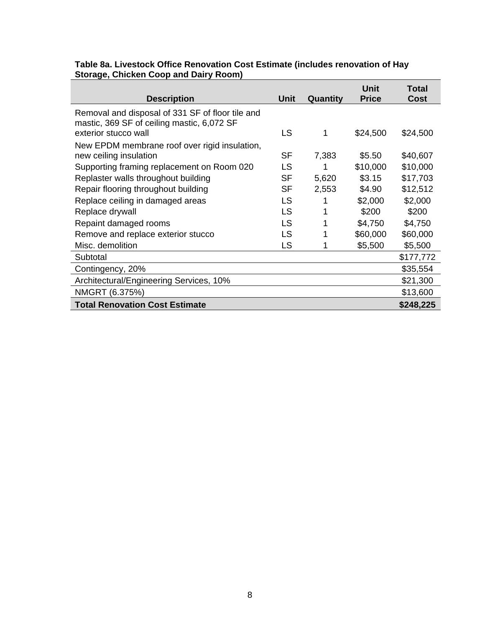|                                       | Table 8a. Livestock Office Renovation Cost Estimate (includes renovation of Hay |  |
|---------------------------------------|---------------------------------------------------------------------------------|--|
| Storage, Chicken Coop and Dairy Room) |                                                                                 |  |

| <b>Description</b>                                                                             | Unit      | Quantity | Unit<br><b>Price</b> | Total<br>Cost |
|------------------------------------------------------------------------------------------------|-----------|----------|----------------------|---------------|
| Removal and disposal of 331 SF of floor tile and<br>mastic, 369 SF of ceiling mastic, 6,072 SF |           |          |                      |               |
| exterior stucco wall                                                                           | LS        |          | \$24,500             | \$24,500      |
| New EPDM membrane roof over rigid insulation,                                                  |           |          |                      |               |
| new ceiling insulation                                                                         | <b>SF</b> | 7,383    | \$5.50               | \$40,607      |
| Supporting framing replacement on Room 020                                                     | <b>LS</b> |          | \$10,000             | \$10,000      |
| Replaster walls throughout building                                                            | <b>SF</b> | 5,620    | \$3.15               | \$17,703      |
| Repair flooring throughout building                                                            | <b>SF</b> | 2,553    | \$4.90               | \$12,512      |
| Replace ceiling in damaged areas                                                               | LS        |          | \$2,000              | \$2,000       |
| Replace drywall                                                                                | LS        |          | \$200                | \$200         |
| Repaint damaged rooms                                                                          | LS        |          | \$4,750              | \$4,750       |
| Remove and replace exterior stucco                                                             | LS        |          | \$60,000             | \$60,000      |
| Misc. demolition                                                                               | LS        |          | \$5,500              | \$5,500       |
| Subtotal                                                                                       |           |          |                      | \$177,772     |
| Contingency, 20%                                                                               |           |          |                      | \$35,554      |
| Architectural/Engineering Services, 10%                                                        |           |          |                      | \$21,300      |
| NMGRT (6.375%)                                                                                 |           |          |                      | \$13,600      |
| <b>Total Renovation Cost Estimate</b>                                                          |           |          |                      | \$248,225     |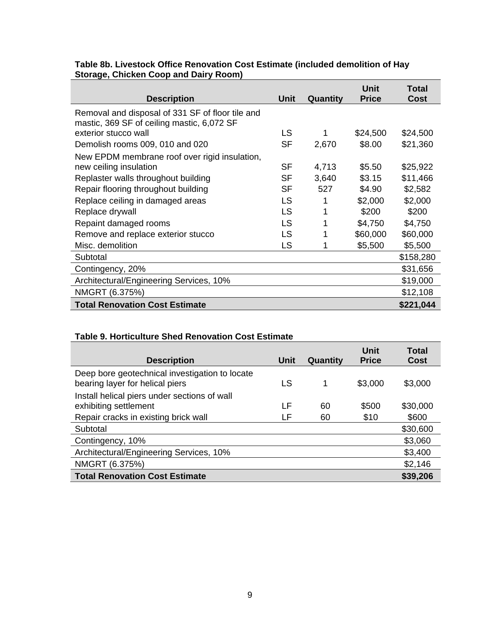## **Table 8b. Livestock Office Renovation Cost Estimate (included demolition of Hay Storage, Chicken Coop and Dairy Room)**

| <b>Description</b>                                                                             | Unit      | Quantity | Unit<br><b>Price</b> | Total<br>Cost |
|------------------------------------------------------------------------------------------------|-----------|----------|----------------------|---------------|
| Removal and disposal of 331 SF of floor tile and<br>mastic, 369 SF of ceiling mastic, 6,072 SF |           |          |                      |               |
| exterior stucco wall                                                                           | LS        |          | \$24,500             | \$24,500      |
| Demolish rooms 009, 010 and 020                                                                | <b>SF</b> | 2,670    | \$8.00               | \$21,360      |
| New EPDM membrane roof over rigid insulation,                                                  |           |          |                      |               |
| new ceiling insulation                                                                         | SF        | 4,713    | \$5.50               | \$25,922      |
| Replaster walls throughout building                                                            | <b>SF</b> | 3,640    | \$3.15               | \$11,466      |
| Repair flooring throughout building                                                            | <b>SF</b> | 527      | \$4.90               | \$2,582       |
| Replace ceiling in damaged areas                                                               | LS        |          | \$2,000              | \$2,000       |
| Replace drywall                                                                                | <b>LS</b> | 1        | \$200                | \$200         |
| Repaint damaged rooms                                                                          | LS        |          | \$4,750              | \$4,750       |
| Remove and replace exterior stucco                                                             | LS        |          | \$60,000             | \$60,000      |
| Misc. demolition                                                                               | <b>LS</b> |          | \$5,500              | \$5,500       |
| Subtotal                                                                                       |           |          |                      | \$158,280     |
| Contingency, 20%                                                                               |           |          |                      | \$31,656      |
| Architectural/Engineering Services, 10%                                                        |           |          |                      | \$19,000      |
| NMGRT (6.375%)                                                                                 |           |          |                      | \$12,108      |
| <b>Total Renovation Cost Estimate</b>                                                          |           |          |                      | \$221,044     |

# **Table 9. Horticulture Shed Renovation Cost Estimate**

| <b>Description</b>                                                                | <b>Unit</b> | Quantity | Unit<br><b>Price</b> | Total<br>Cost |
|-----------------------------------------------------------------------------------|-------------|----------|----------------------|---------------|
| Deep bore geotechnical investigation to locate<br>bearing layer for helical piers | LS          |          | \$3,000              | \$3,000       |
| Install helical piers under sections of wall<br>exhibiting settlement             | LF          | 60       | \$500                | \$30,000      |
| Repair cracks in existing brick wall                                              | LF          | 60       | \$10                 | \$600         |
| Subtotal                                                                          |             |          |                      | \$30,600      |
| Contingency, 10%                                                                  |             |          |                      | \$3,060       |
| Architectural/Engineering Services, 10%                                           |             |          |                      | \$3,400       |
| NMGRT (6.375%)                                                                    |             |          |                      | \$2,146       |
| <b>Total Renovation Cost Estimate</b>                                             |             |          |                      | \$39,206      |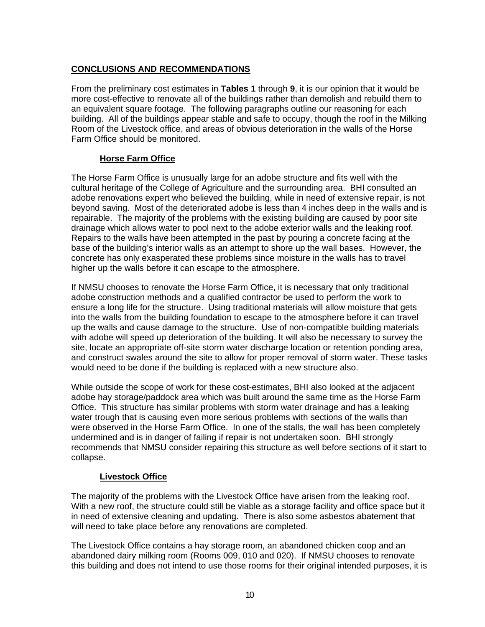## **CONCLUSIONS AND RECOMMENDATIONS**

From the preliminary cost estimates in **Tables 1** through **9**, it is our opinion that it would be more cost-effective to renovate all of the buildings rather than demolish and rebuild them to an equivalent square footage. The following paragraphs outline our reasoning for each building. All of the buildings appear stable and safe to occupy, though the roof in the Milking Room of the Livestock office, and areas of obvious deterioration in the walls of the Horse Farm Office should be monitored.

### **Horse Farm Office**

The Horse Farm Office is unusually large for an adobe structure and fits well with the cultural heritage of the College of Agriculture and the surrounding area. BHI consulted an adobe renovations expert who believed the building, while in need of extensive repair, is not beyond saving. Most of the deteriorated adobe is less than 4 inches deep in the walls and is repairable. The majority of the problems with the existing building are caused by poor site drainage which allows water to pool next to the adobe exterior walls and the leaking roof. Repairs to the walls have been attempted in the past by pouring a concrete facing at the base of the building's interior walls as an attempt to shore up the wall bases. However, the concrete has only exasperated these problems since moisture in the walls has to travel higher up the walls before it can escape to the atmosphere.

If NMSU chooses to renovate the Horse Farm Office, it is necessary that only traditional adobe construction methods and a qualified contractor be used to perform the work to ensure a long life for the structure. Using traditional materials will allow moisture that gets into the walls from the building foundation to escape to the atmosphere before it can travel up the walls and cause damage to the structure. Use of non-compatible building materials with adobe will speed up deterioration of the building. It will also be necessary to survey the site, locate an appropriate off-site storm water discharge location or retention ponding area, and construct swales around the site to allow for proper removal of storm water. These tasks would need to be done if the building is replaced with a new structure also.

While outside the scope of work for these cost-estimates, BHI also looked at the adjacent adobe hay storage/paddock area which was built around the same time as the Horse Farm Office. This structure has similar problems with storm water drainage and has a leaking water trough that is causing even more serious problems with sections of the walls than were observed in the Horse Farm Office. In one of the stalls, the wall has been completely undermined and is in danger of failing if repair is not undertaken soon. BHI strongly recommends that NMSU consider repairing this structure as well before sections of it start to collapse.

### **Livestock Office**

The majority of the problems with the Livestock Office have arisen from the leaking roof. With a new roof, the structure could still be viable as a storage facility and office space but it in need of extensive cleaning and updating. There is also some asbestos abatement that will need to take place before any renovations are completed.

The Livestock Office contains a hay storage room, an abandoned chicken coop and an abandoned dairy milking room (Rooms 009, 010 and 020). If NMSU chooses to renovate this building and does not intend to use those rooms for their original intended purposes, it is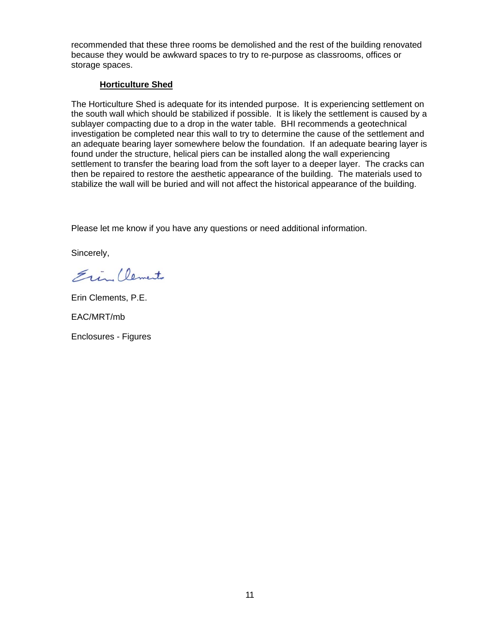recommended that these three rooms be demolished and the rest of the building renovated because they would be awkward spaces to try to re-purpose as classrooms, offices or storage spaces.

## **Horticulture Shed**

The Horticulture Shed is adequate for its intended purpose. It is experiencing settlement on the south wall which should be stabilized if possible. It is likely the settlement is caused by a sublayer compacting due to a drop in the water table. BHI recommends a geotechnical investigation be completed near this wall to try to determine the cause of the settlement and an adequate bearing layer somewhere below the foundation. If an adequate bearing layer is found under the structure, helical piers can be installed along the wall experiencing settlement to transfer the bearing load from the soft layer to a deeper layer. The cracks can then be repaired to restore the aesthetic appearance of the building. The materials used to stabilize the wall will be buried and will not affect the historical appearance of the building.

Please let me know if you have any questions or need additional information.

Sincerely,

Ein Clements

Erin Clements, P.E.

EAC/MRT/mb

Enclosures - Figures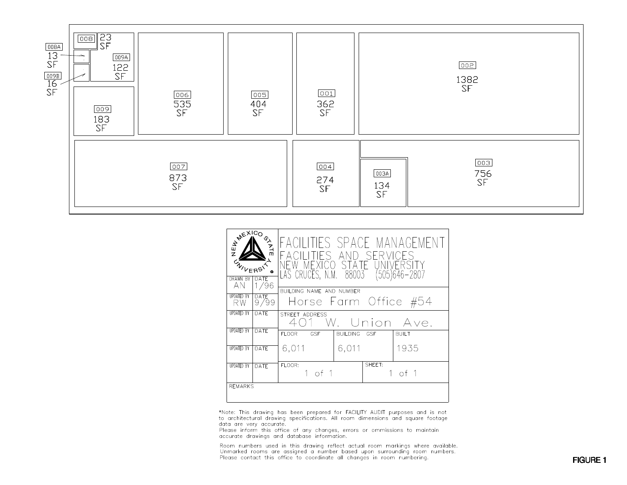

| <b>ASSEXICO ON AVE</b><br>龜<br>DATE<br><b>DRAWN BY</b><br>AN<br>1/96 |             | FACILITIES SPACE MANAGEMENT<br>IES AND SERVICES<br>NEW MEXTCO STATE<br>LAS CRUCES, N.M. 88003<br>(505)646–2807 |                 |            |              |  |
|----------------------------------------------------------------------|-------------|----------------------------------------------------------------------------------------------------------------|-----------------|------------|--------------|--|
| <b>UPDATED BY</b>                                                    | <b>DATE</b> | BUILDING NAME AND NUMBER                                                                                       |                 |            |              |  |
| RW                                                                   | 9/99        | Horse Farm Office #54                                                                                          |                 |            |              |  |
| <b>UPDATED BY</b>                                                    | DATE        | STREET ADDRESS<br>W. Union Ave.                                                                                |                 |            |              |  |
| <b>UPDATED BY</b>                                                    | DATE        | FLOOR GSF                                                                                                      | <b>BUILDING</b> | <b>GSF</b> | <b>BUILT</b> |  |
| <b>UPDATED BY</b>                                                    | DATE        | 6,011                                                                                                          | 6,011           |            | 1935         |  |
| <b>UPDATED BY</b>                                                    | DATE        | FLOOR:<br>1 of 1                                                                                               |                 | SHEFT:     | 1 of 1       |  |
| <b>REMARKS</b>                                                       |             |                                                                                                                |                 |            |              |  |

\*Note: This drawing has been prepared for FACILITY AUDIT purposes and is not<br>to architectural drawing specifications. All room dimensions and square footage data are very accurate.

Please inform this office of any changes, errors or ommissions to maintain accurate drawings and database information.

Room numbers used in this drawing reflect actual room markings where available.<br>Unmarked rooms are assigned a number based upon surrounding room numbers.<br>Please contact this office to coordinate all changes in room numberi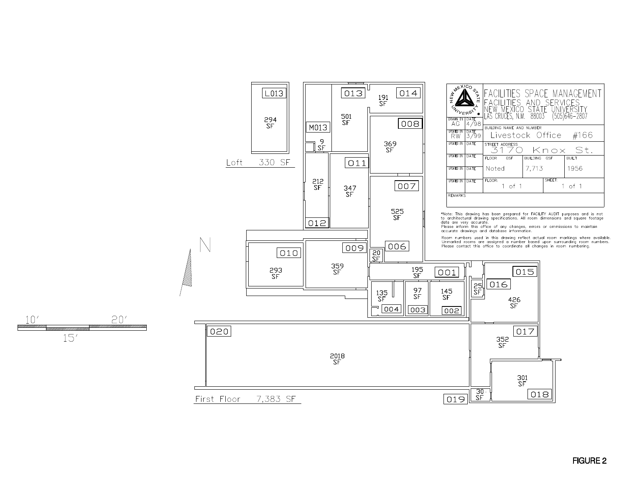